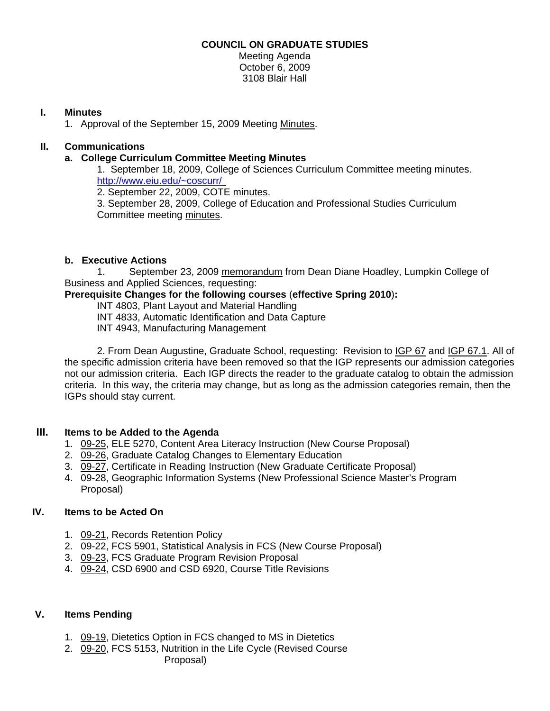### **COUNCIL ON GRADUATE STUDIES**

Meeting Agenda October 6, 2009 3108 Blair Hall

### **I. Minutes**

1. Approval of the September 15, 2009 Meeti[ng Minutes.](http://www.eiu.edu/~eiucgs/currentminutes/Minutes9-15-09.pdf) 

# **II. Communications**

# **a. College Curriculum Committee Meeting Minutes**

1. September 18, 2009, College of Sciences Curriculum Committee meeting minutes. <http://www.eiu.edu/~coscurr/>

2. September 22, 2009, COTE [minutes.](http://www.eiu.edu/~eiucgs/currentagendaitems/COTEmin9-22-09.pdf) 

3. September 28, 2009, College of Education and Professional Studies Curriculum Committee meetin[g minutes.](http://www.eiu.edu/~eiucgs/currentagendaitems/CEPSMin9-28-09.pdf) 

# **b. Executive Actions**

 1. September 23, 200[9 memorandum](http://www.eiu.edu/~eiucgs/currentagendaitems/LCBAS-9-23-09ExecAct.pdf) from Dean Diane Hoadley, Lumpkin College of Business and Applied Sciences, requesting:

### **Prerequisite Changes for the following courses** (**effective Spring 2010**)**:**

INT 4803, Plant Layout and Material Handling

INT 4833, Automatic Identification and Data Capture

INT 4943, Manufacturing Management

 2. From Dean Augustine, Graduate School, requesting: Revision [to IGP 67 a](http://www.eiu.edu/~eiucgs/currentagendaitems/exec-act-IGP67.pdf)nd [IGP 67.1. A](http://www.eiu.edu/~eiucgs/currentagendaitems/exec-act-IGP67.1.pdf)ll of the specific admission criteria have been removed so that the IGP represents our admission categories not our admission criteria. Each IGP directs the reader to the graduate catalog to obtain the admission criteria. In this way, the criteria may change, but as long as the admission categories remain, then the IGPs should stay current.

### **III. Items to be Added to the Agenda**

- 1. [09-25,](http://www.eiu.edu/~eiucgs/currentagendaitems/agenda09-25.pdf) ELE 5270, Content Area Literacy Instruction (New Course Proposal)
- 2. [09-26, G](http://www.eiu.edu/~eiucgs/currentagendaitems/agenda09-26.pdf)raduate Catalog Changes to Elementary Education
- 3. [09-27, C](http://www.eiu.edu/~eiucgs/currentagendaitems/agenda09-27.pdf)ertificate in Reading Instruction (New Graduate Certificate Proposal)
- 4. 09-28, Geographic Information Systems (New Professional Science Master's Program Proposal)

### **IV. Items to be Acted On**

- 1. [09-21,](http://www.eiu.edu/~eiucgs/currentagendaitems/agenda09-21.pdf) Records Retention Policy
- 2. [09-22, F](http://www.eiu.edu/~eiucgs/currentagendaitems/agenda09-22.pdf)CS 5901, Statistical Analysis in FCS (New Course Proposal)
- 3. [09-23, F](http://www.eiu.edu/~eiucgs/currentagendaitems/agenda09-23.pdf)CS Graduate Program Revision Proposal
- 4. [09-24, C](http://www.eiu.edu/~eiucgs/currentagendaitems/agenda09-24.pdf)SD 6900 and CSD 6920, Course Title Revisions

### **V. Items Pending**

- 1. [09-19,](http://www.eiu.edu/~eiucgs/currentagendaitems/agenda09-19.pdf) Dietetics Option in FCS changed to MS in Dietetics
- 2. [09-20, FC](http://www.eiu.edu/~eiucgs/currentagendaitems/agenda09-20.pdf)S 5153, Nutrition in the Life Cycle (Revised Course Proposal)